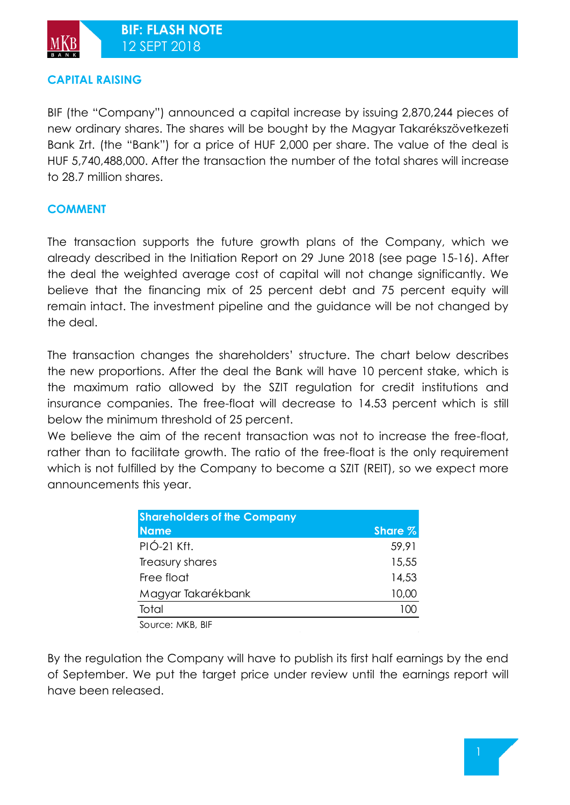## **CAPITAL RAISING**

BIF (the "Company") announced a capital increase by issuing 2,870,244 pieces of new ordinary shares. The shares will be bought by the Magyar Takarékszövetkezeti Bank Zrt. (the "Bank") for a price of HUF 2,000 per share. The value of the deal is HUF 5,740,488,000. After the transaction the number of the total shares will increase to 28.7 million shares.

## **COMMENT**

The transaction supports the future growth plans of the Company, which we already described in the Initiation Report on 29 June 2018 (see page 15-16). After the deal the weighted average cost of capital will not change significantly. We believe that the financing mix of 25 percent debt and 75 percent equity will remain intact. The investment pipeline and the guidance will be not changed by the deal.

The transaction changes the shareholders' structure. The chart below describes the new proportions. After the deal the Bank will have 10 percent stake, which is the maximum ratio allowed by the SZIT regulation for credit institutions and insurance companies. The free-float will decrease to 14.53 percent which is still below the minimum threshold of 25 percent.

We believe the aim of the recent transaction was not to increase the free-float, rather than to facilitate growth. The ratio of the free-float is the only requirement which is not fulfilled by the Company to become a SZIT (REIT), so we expect more announcements this year.

| <b>Shareholders of the Company</b> |         |
|------------------------------------|---------|
| <b>Name</b>                        | Share % |
| PIÓ-21 Kft.                        | 59,91   |
| Treasury shares                    | 15,55   |
| Free float                         | 14,53   |
| Magyar Takarékbank                 | 10,00   |
| Total                              |         |
|                                    |         |

Source: MKB, BIF

By the regulation the Company will have to publish its first half earnings by the end of September. We put the target price under review until the earnings report will have been released.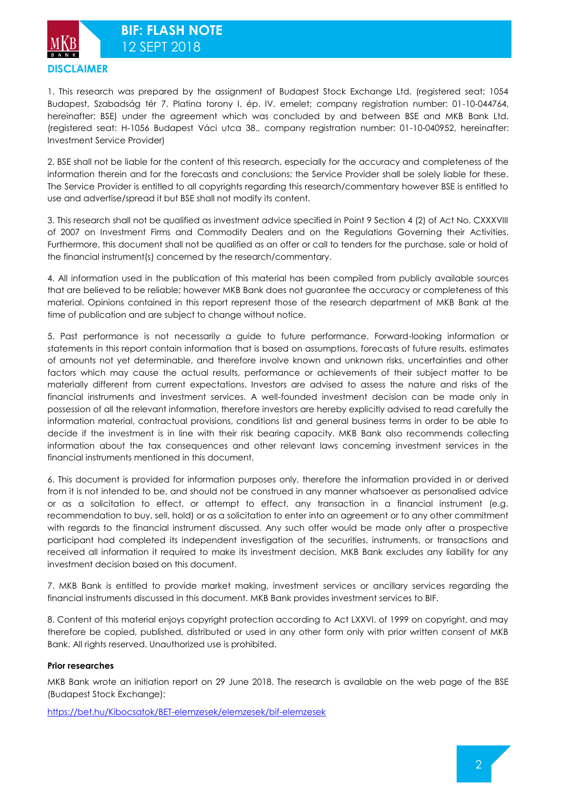



1. This research was prepared by the assignment of Budapest Stock Exchange Ltd. (registered seat: 1054 Budapest, Szabadság tér 7. Platina torony I. ép. IV. emelet; company registration number: 01-10-044764, hereinafter: BSE) under the agreement which was concluded by and between BSE and MKB Bank Ltd. (registered seat: H-1056 Budapest Váci utca 38., company registration number: 01-10-040952, hereinafter: Investment Service Provider)

2. BSE shall not be liable for the content of this research, especially for the accuracy and completeness of the information therein and for the forecasts and conclusions; the Service Provider shall be solely liable for these. The Service Provider is entitled to all copyrights regarding this research/commentary however BSE is entitled to use and advertise/spread it but BSE shall not modify its content.

3. This research shall not be qualified as investment advice specified in Point 9 Section 4 (2) of Act No. CXXXVIII of 2007 on Investment Firms and Commodity Dealers and on the Regulations Governing their Activities. Furthermore, this document shall not be qualified as an offer or call to tenders for the purchase, sale or hold of the financial instrument(s) concerned by the research/commentary.

4. All information used in the publication of this material has been compiled from publicly available sources that are believed to be reliable; however MKB Bank does not guarantee the accuracy or completeness of this material. Opinions contained in this report represent those of the research department of MKB Bank at the time of publication and are subject to change without notice.

5. Past performance is not necessarily a guide to future performance. Forward-looking information or statements in this report contain information that is based on assumptions, forecasts of future results, estimates of amounts not yet determinable, and therefore involve known and unknown risks, uncertainties and other factors which may cause the actual results, performance or achievements of their subject matter to be materially different from current expectations. Investors are advised to assess the nature and risks of the financial instruments and investment services. A well-founded investment decision can be made only in possession of all the relevant information, therefore investors are hereby explicitly advised to read carefully the information material, contractual provisions, conditions list and general business terms in order to be able to decide if the investment is in line with their risk bearing capacity. MKB Bank also recommends collecting information about the tax consequences and other relevant laws concerning investment services in the financial instruments mentioned in this document.

6. This document is provided for information purposes only, therefore the information provided in or derived from it is not intended to be, and should not be construed in any manner whatsoever as personalised advice or as a solicitation to effect, or attempt to effect, any transaction in a financial instrument (e.g. recommendation to buy, sell, hold) or as a solicitation to enter into an agreement or to any other commitment with regards to the financial instrument discussed. Any such offer would be made only after a prospective participant had completed its independent investigation of the securities, instruments, or transactions and received all information it required to make its investment decision. MKB Bank excludes any liability for any investment decision based on this document.

7. MKB Bank is entitled to provide market making, investment services or ancillary services regarding the financial instruments discussed in this document. MKB Bank provides investment services to BIF.

8. Content of this material enjoys copyright protection according to Act LXXVI. of 1999 on copyright, and may therefore be copied, published, distributed or used in any other form only with prior written consent of MKB Bank. All rights reserved. Unauthorized use is prohibited.

### **Prior researches**

MKB Bank wrote an initiation report on 29 June 2018. The research is available on the web page of the BSE (Budapest Stock Exchange):

<https://bet.hu/Kibocsatok/BET-elemzesek/elemzesek/bif-elemzesek>